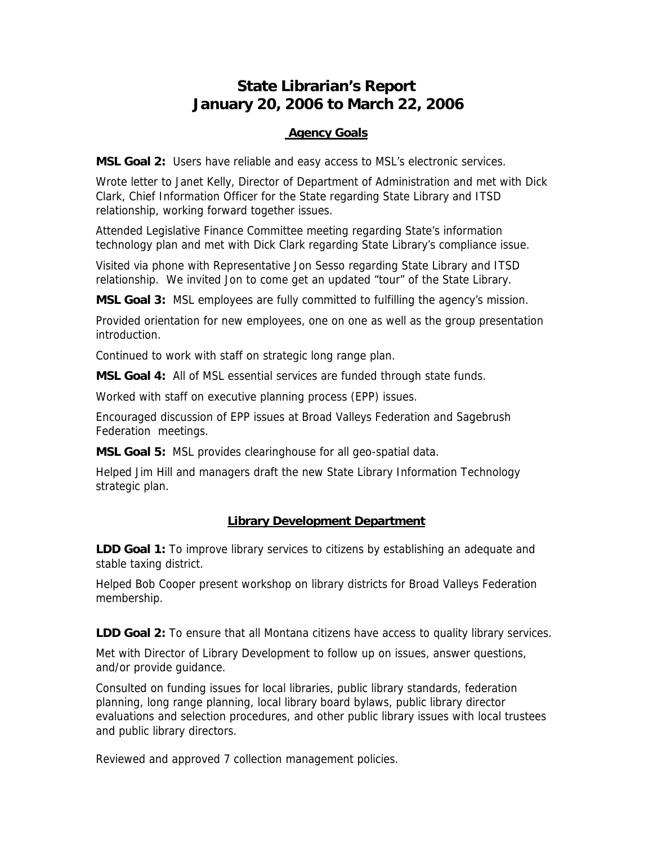# **State Librarian's Report January 20, 2006 to March 22, 2006**

### **Agency Goals**

**MSL Goal 2:** Users have reliable and easy access to MSL's electronic services.

Wrote letter to Janet Kelly, Director of Department of Administration and met with Dick Clark, Chief Information Officer for the State regarding State Library and ITSD relationship, working forward together issues.

Attended Legislative Finance Committee meeting regarding State's information technology plan and met with Dick Clark regarding State Library's compliance issue.

Visited via phone with Representative Jon Sesso regarding State Library and ITSD relationship. We invited Jon to come get an updated "tour" of the State Library.

**MSL Goal 3:** MSL employees are fully committed to fulfilling the agency's mission.

Provided orientation for new employees, one on one as well as the group presentation introduction.

Continued to work with staff on strategic long range plan.

**MSL Goal 4:** All of MSL essential services are funded through state funds.

Worked with staff on executive planning process (EPP) issues.

Encouraged discussion of EPP issues at Broad Valleys Federation and Sagebrush Federation meetings.

**MSL Goal 5:** MSL provides clearinghouse for all geo-spatial data.

Helped Jim Hill and managers draft the new State Library Information Technology strategic plan.

## **Library Development Department**

**LDD Goal 1:** To improve library services to citizens by establishing an adequate and stable taxing district.

Helped Bob Cooper present workshop on library districts for Broad Valleys Federation membership.

**LDD Goal 2:** To ensure that all Montana citizens have access to quality library services.

Met with Director of Library Development to follow up on issues, answer questions, and/or provide guidance.

Consulted on funding issues for local libraries, public library standards, federation planning, long range planning, local library board bylaws, public library director evaluations and selection procedures, and other public library issues with local trustees and public library directors.

Reviewed and approved 7 collection management policies.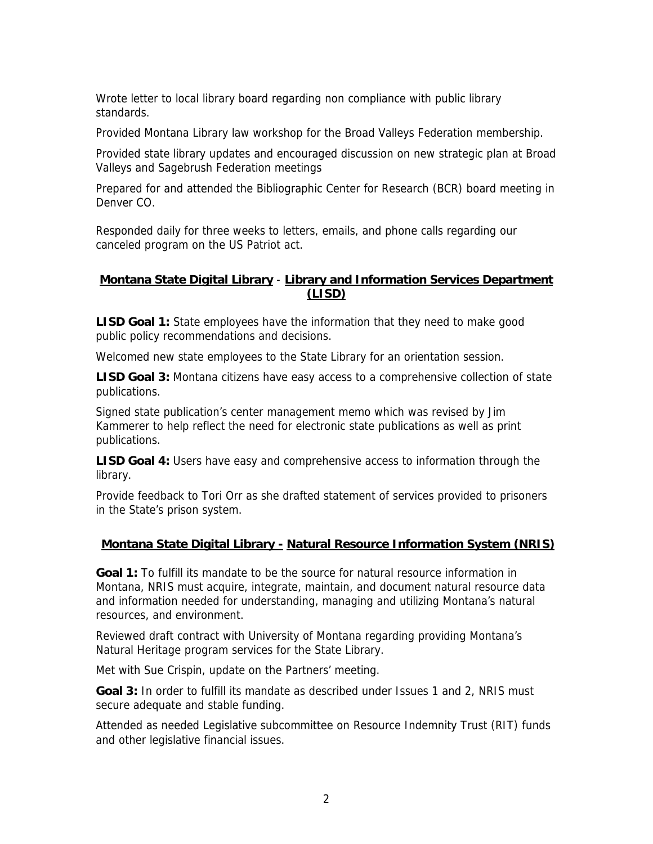Wrote letter to local library board regarding non compliance with public library standards.

Provided Montana Library law workshop for the Broad Valleys Federation membership.

Provided state library updates and encouraged discussion on new strategic plan at Broad Valleys and Sagebrush Federation meetings

Prepared for and attended the Bibliographic Center for Research (BCR) board meeting in Denver CO.

Responded daily for three weeks to letters, emails, and phone calls regarding our canceled program on the US Patriot act.

#### **Montana State Digital Library** - **Library and Information Services Department (LISD)**

**LISD Goal 1:** State employees have the information that they need to make good public policy recommendations and decisions.

Welcomed new state employees to the State Library for an orientation session.

**LISD Goal 3:** Montana citizens have easy access to a comprehensive collection of state publications.

Signed state publication's center management memo which was revised by Jim Kammerer to help reflect the need for electronic state publications as well as print publications.

**LISD Goal 4:** Users have easy and comprehensive access to information through the library.

Provide feedback to Tori Orr as she drafted statement of services provided to prisoners in the State's prison system.

## **Montana State Digital Library - Natural Resource Information System (NRIS)**

**Goal 1:** To fulfill its mandate to be the source for natural resource information in Montana, NRIS must acquire, integrate, maintain, and document natural resource data and information needed for understanding, managing and utilizing Montana's natural resources, and environment.

Reviewed draft contract with University of Montana regarding providing Montana's Natural Heritage program services for the State Library.

Met with Sue Crispin, update on the Partners' meeting.

**Goal 3:** In order to fulfill its mandate as described under Issues 1 and 2, NRIS must secure adequate and stable funding.

Attended as needed Legislative subcommittee on Resource Indemnity Trust (RIT) funds and other legislative financial issues.